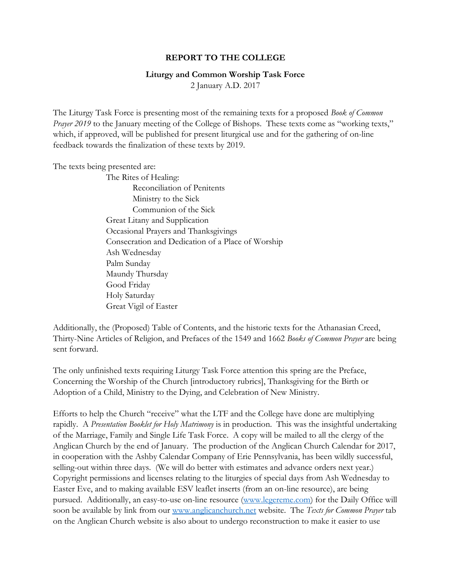## **REPORT TO THE COLLEGE**

## **Liturgy and Common Worship Task Force**

2 January A.D. 2017

The Liturgy Task Force is presenting most of the remaining texts for a proposed *Book of Common Prayer 2019* to the January meeting of the College of Bishops. These texts come as "working texts," which, if approved, will be published for present liturgical use and for the gathering of on-line feedback towards the finalization of these texts by 2019.

The texts being presented are:

The Rites of Healing: Reconciliation of Penitents Ministry to the Sick Communion of the Sick Great Litany and Supplication Occasional Prayers and Thanksgivings Consecration and Dedication of a Place of Worship Ash Wednesday Palm Sunday Maundy Thursday Good Friday Holy Saturday Great Vigil of Easter

Additionally, the (Proposed) Table of Contents, and the historic texts for the Athanasian Creed, Thirty-Nine Articles of Religion, and Prefaces of the 1549 and 1662 *Books of Common Prayer* are being sent forward.

The only unfinished texts requiring Liturgy Task Force attention this spring are the Preface, Concerning the Worship of the Church [introductory rubrics], Thanksgiving for the Birth or Adoption of a Child, Ministry to the Dying, and Celebration of New Ministry.

Efforts to help the Church "receive" what the LTF and the College have done are multiplying rapidly. A *Presentation Booklet for Holy Matrimony* is in production. This was the insightful undertaking of the Marriage, Family and Single Life Task Force. A copy will be mailed to all the clergy of the Anglican Church by the end of January. The production of the Anglican Church Calendar for 2017, in cooperation with the Ashby Calendar Company of Erie Pennsylvania, has been wildly successful, selling-out within three days. (We will do better with estimates and advance orders next year.) Copyright permissions and licenses relating to the liturgies of special days from Ash Wednesday to Easter Eve, and to making available ESV leaflet inserts (from an on-line resource), are being pursued. Additionally, an easy-to-use on-line resource [\(www.legereme.com\)](http://www.legereme.com/) for the Daily Office will soon be available by link from our [www.anglicanchurch.net](http://www.anglicanchurch.net/) website. The *Texts for Common Prayer* tab on the Anglican Church website is also about to undergo reconstruction to make it easier to use